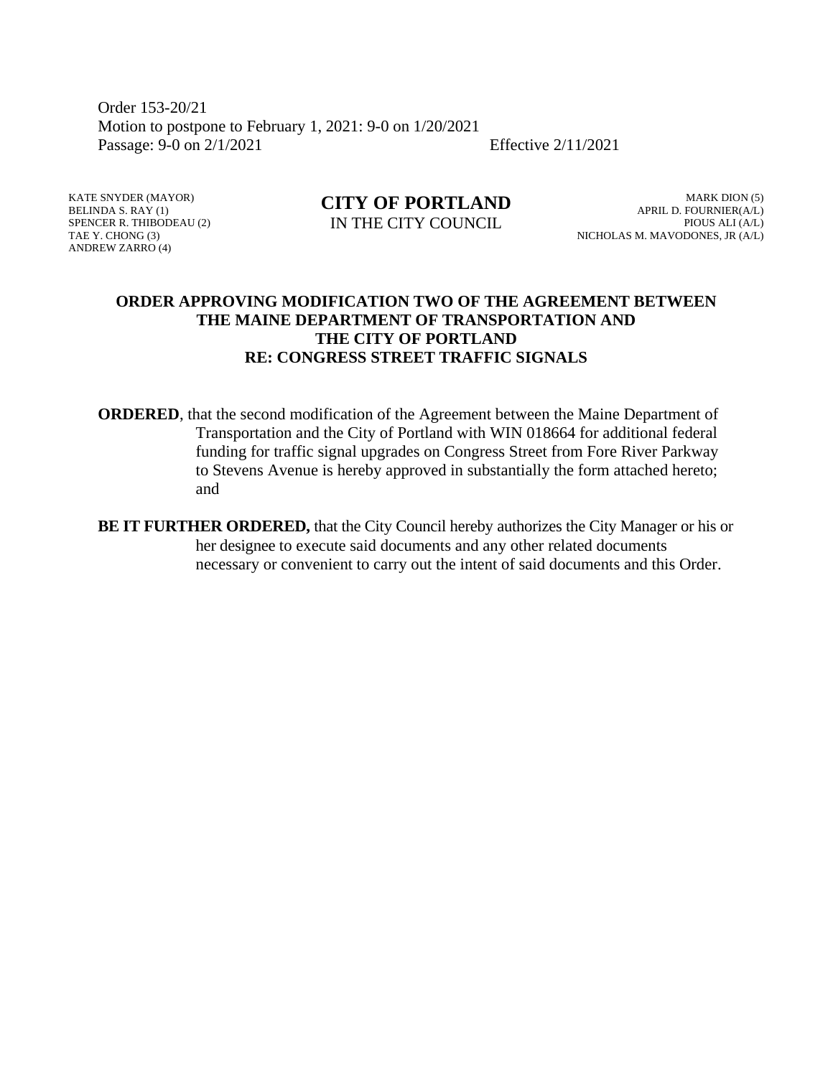Order 153-20/21 Motion to postpone to February 1, 2021: 9-0 on 1/20/2021 Passage: 9-0 on 2/1/2021 Effective 2/11/2021

KATE SNYDER (MAYOR) BELINDA S. RAY (1) SPENCER R. THIBODEAU (2) TAE Y. CHONG (3) ANDREW ZARRO (4)

**CITY OF PORTLAND** IN THE CITY COUNCIL

MARK DION (5) APRIL D. FOURNIER(A/L) PIOUS ALI (A/L) NICHOLAS M. MAVODONES, JR (A/L)

#### **ORDER APPROVING MODIFICATION TWO OF THE AGREEMENT BETWEEN THE MAINE DEPARTMENT OF TRANSPORTATION AND THE CITY OF PORTLAND RE: CONGRESS STREET TRAFFIC SIGNALS**

**ORDERED**, that the second modification of the Agreement between the Maine Department of Transportation and the City of Portland with WIN 018664 for additional federal funding for traffic signal upgrades on Congress Street from Fore River Parkway to Stevens Avenue is hereby approved in substantially the form attached hereto; and

**BE IT FURTHER ORDERED,** that the City Council hereby authorizes the City Manager or his or her designee to execute said documents and any other related documents necessary or convenient to carry out the intent of said documents and this Order.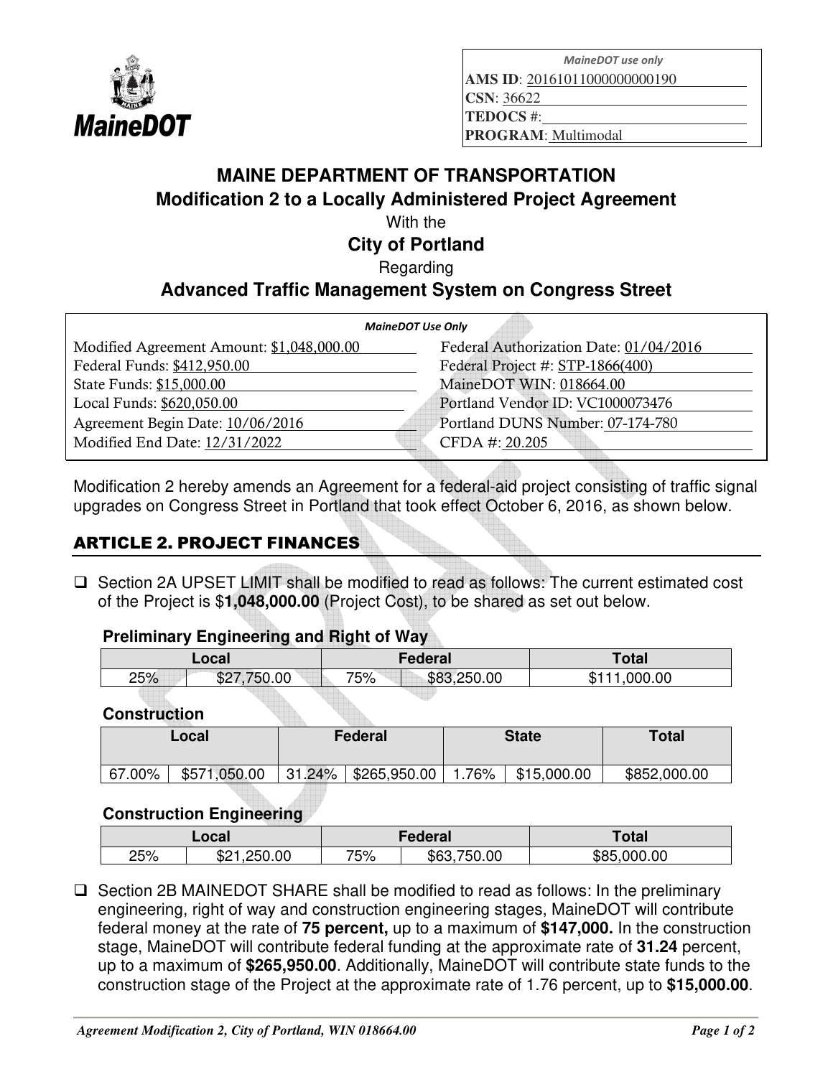

*MaineDOT use only* 

**AMS ID**: 20161011000000000190

**CSN**: 36622

**TEDOCS** #:

**PROGRAM**: Multimodal

# **MAINE DEPARTMENT OF TRANSPORTATION Modification 2 to a Locally Administered Project Agreement**

With the

# **City of Portland**

Regarding

# **Advanced Traffic Management System on Congress Street**

| <b>MaineDOT Use Only</b>               |  |  |  |  |  |
|----------------------------------------|--|--|--|--|--|
| Federal Authorization Date: 01/04/2016 |  |  |  |  |  |
| Federal Project #: STP-1866(400)       |  |  |  |  |  |
| MaineDOT WIN: 018664.00                |  |  |  |  |  |
| Portland Vendor ID: VC1000073476       |  |  |  |  |  |
| Portland DUNS Number: 07-174-780       |  |  |  |  |  |
| CFDA #: 20.205                         |  |  |  |  |  |
|                                        |  |  |  |  |  |

Modification 2 hereby amends an Agreement for a federal-aid project consisting of traffic signal upgrades on Congress Street in Portland that took effect October 6, 2016, as shown below.

# ARTICLE 2. PROJECT FINANCES

 $\Box$  Section 2A UPSET LIMIT shall be modified to read as follows: The current estimated cost of the Project is \$**1,048,000.00** (Project Cost), to be shared as set out below.

#### **Preliminary Engineering and Right of Way**

|     | Local          | Federal            | Total            |  |
|-----|----------------|--------------------|------------------|--|
| 25% | 750.00<br>\$27 | \$83,250.00<br>75% | ,000.00<br>\$111 |  |
|     |                |                    |                  |  |

### **Construction**

| Local  | <b>State</b><br><b>Federal</b> |        |                            | <b>Total</b> |             |              |
|--------|--------------------------------|--------|----------------------------|--------------|-------------|--------------|
| 67.00% | \$571,050.00                   | 31.24% | $\frac{1}{2}$ \$265,950.00 | 1.76%        | \$15,000.00 | \$852,000.00 |

### **Construction Engineering**

| Local |                              | Federal |                | <b>Total</b>    |
|-------|------------------------------|---------|----------------|-----------------|
| 25%   | :50.00<br>ഹ -<br>. ור'<br>∟ت | 75%     | 750.00<br>\$6^ | .000.00<br>\$85 |

 $\square$  Section 2B MAINEDOT SHARE shall be modified to read as follows: In the preliminary engineering, right of way and construction engineering stages, MaineDOT will contribute federal money at the rate of **75 percent,** up to a maximum of **\$147,000.** In the construction stage, MaineDOT will contribute federal funding at the approximate rate of **31.24** percent, up to a maximum of **\$265,950.00**. Additionally, MaineDOT will contribute state funds to the construction stage of the Project at the approximate rate of 1.76 percent, up to **\$15,000.00**.